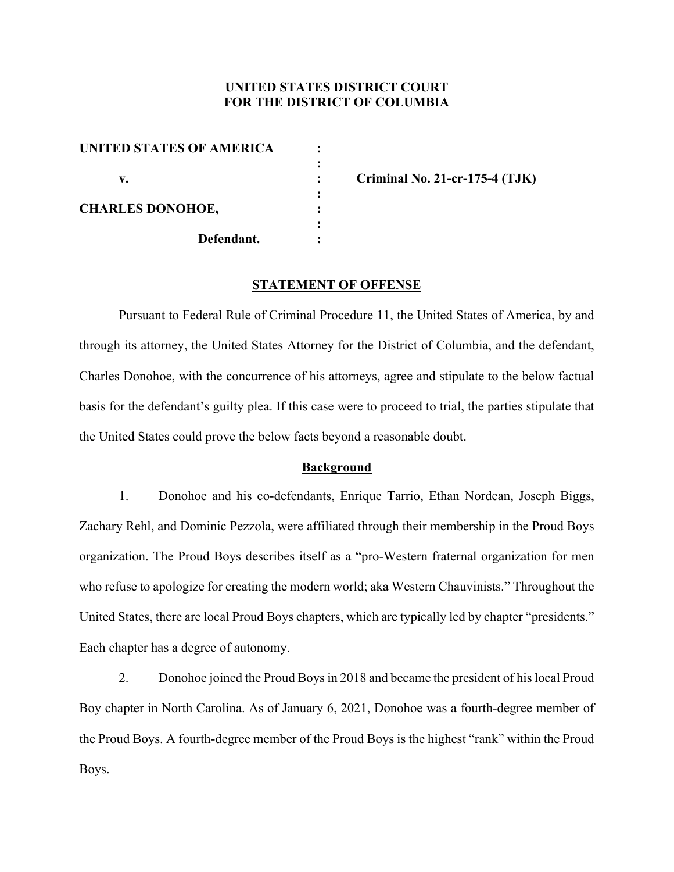# **UNITED STATES DISTRICT COURT FOR THE DISTRICT OF COLUMBIA**

| <b>UNITED STATES OF AMERICA</b> |            |  |
|---------------------------------|------------|--|
|                                 |            |  |
| v.                              |            |  |
|                                 |            |  |
| <b>CHARLES DONOHOE,</b>         |            |  |
|                                 |            |  |
|                                 | Defendant. |  |
|                                 |            |  |

 **v. : Criminal No. 21-cr-175-4 (TJK)** 

## **STATEMENT OF OFFENSE**

 Pursuant to Federal Rule of Criminal Procedure 11, the United States of America, by and through its attorney, the United States Attorney for the District of Columbia, and the defendant, Charles Donohoe, with the concurrence of his attorneys, agree and stipulate to the below factual basis for the defendant's guilty plea. If this case were to proceed to trial, the parties stipulate that the United States could prove the below facts beyond a reasonable doubt.

### **Background**

1. Donohoe and his co-defendants, Enrique Tarrio, Ethan Nordean, Joseph Biggs, Zachary Rehl, and Dominic Pezzola, were affiliated through their membership in the Proud Boys organization. The Proud Boys describes itself as a "pro-Western fraternal organization for men who refuse to apologize for creating the modern world; aka Western Chauvinists." Throughout the United States, there are local Proud Boys chapters, which are typically led by chapter "presidents." Each chapter has a degree of autonomy.

2. Donohoe joined the Proud Boys in 2018 and became the president of his local Proud Boy chapter in North Carolina. As of January 6, 2021, Donohoe was a fourth-degree member of the Proud Boys. A fourth-degree member of the Proud Boys is the highest "rank" within the Proud Boys.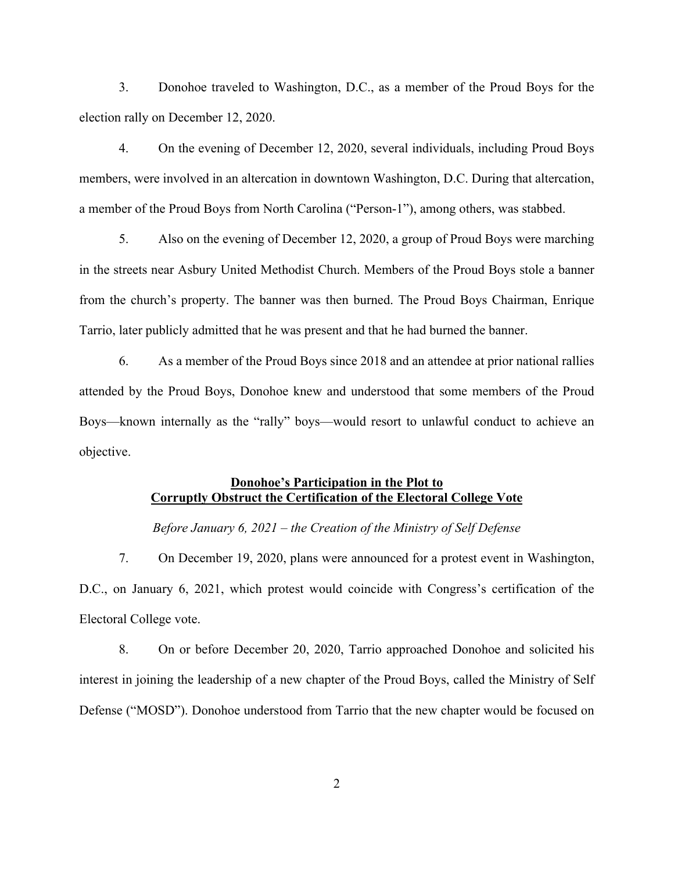3. Donohoe traveled to Washington, D.C., as a member of the Proud Boys for the election rally on December 12, 2020.

4. On the evening of December 12, 2020, several individuals, including Proud Boys members, were involved in an altercation in downtown Washington, D.C. During that altercation, a member of the Proud Boys from North Carolina ("Person-1"), among others, was stabbed.

5. Also on the evening of December 12, 2020, a group of Proud Boys were marching in the streets near Asbury United Methodist Church. Members of the Proud Boys stole a banner from the church's property. The banner was then burned. The Proud Boys Chairman, Enrique Tarrio, later publicly admitted that he was present and that he had burned the banner.

6. As a member of the Proud Boys since 2018 and an attendee at prior national rallies attended by the Proud Boys, Donohoe knew and understood that some members of the Proud Boys—known internally as the "rally" boys—would resort to unlawful conduct to achieve an objective.

# **Donohoe's Participation in the Plot to Corruptly Obstruct the Certification of the Electoral College Vote**

*Before January 6, 2021 – the Creation of the Ministry of Self Defense* 

7. On December 19, 2020, plans were announced for a protest event in Washington, D.C., on January 6, 2021, which protest would coincide with Congress's certification of the Electoral College vote.

8. On or before December 20, 2020, Tarrio approached Donohoe and solicited his interest in joining the leadership of a new chapter of the Proud Boys, called the Ministry of Self Defense ("MOSD"). Donohoe understood from Tarrio that the new chapter would be focused on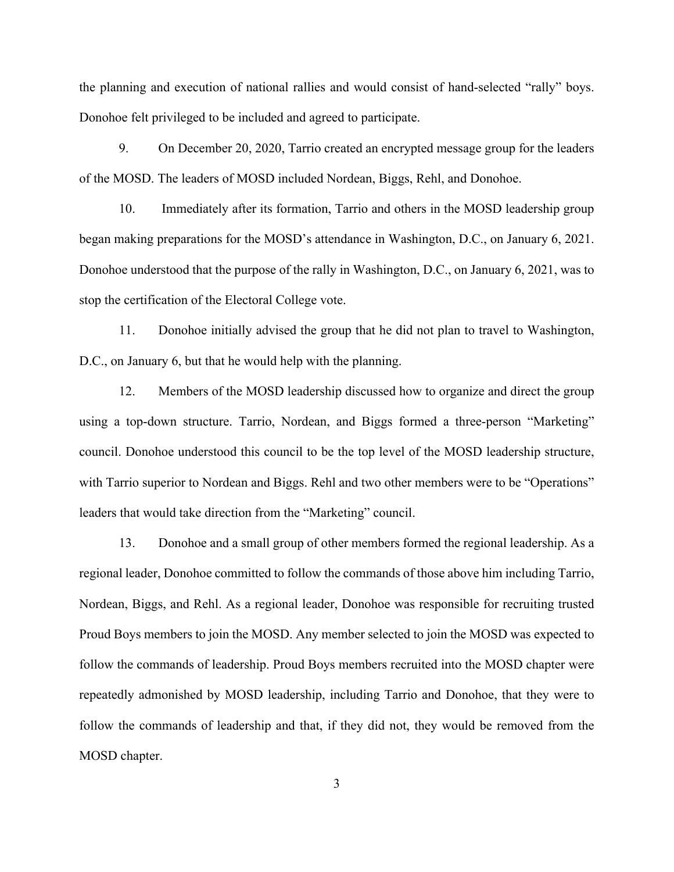the planning and execution of national rallies and would consist of hand-selected "rally" boys. Donohoe felt privileged to be included and agreed to participate.

9. On December 20, 2020, Tarrio created an encrypted message group for the leaders of the MOSD. The leaders of MOSD included Nordean, Biggs, Rehl, and Donohoe.

10. Immediately after its formation, Tarrio and others in the MOSD leadership group began making preparations for the MOSD's attendance in Washington, D.C., on January 6, 2021. Donohoe understood that the purpose of the rally in Washington, D.C., on January 6, 2021, was to stop the certification of the Electoral College vote.

11. Donohoe initially advised the group that he did not plan to travel to Washington, D.C., on January 6, but that he would help with the planning.

12. Members of the MOSD leadership discussed how to organize and direct the group using a top-down structure. Tarrio, Nordean, and Biggs formed a three-person "Marketing" council. Donohoe understood this council to be the top level of the MOSD leadership structure, with Tarrio superior to Nordean and Biggs. Rehl and two other members were to be "Operations" leaders that would take direction from the "Marketing" council.

13. Donohoe and a small group of other members formed the regional leadership. As a regional leader, Donohoe committed to follow the commands of those above him including Tarrio, Nordean, Biggs, and Rehl. As a regional leader, Donohoe was responsible for recruiting trusted Proud Boys members to join the MOSD. Any member selected to join the MOSD was expected to follow the commands of leadership. Proud Boys members recruited into the MOSD chapter were repeatedly admonished by MOSD leadership, including Tarrio and Donohoe, that they were to follow the commands of leadership and that, if they did not, they would be removed from the MOSD chapter.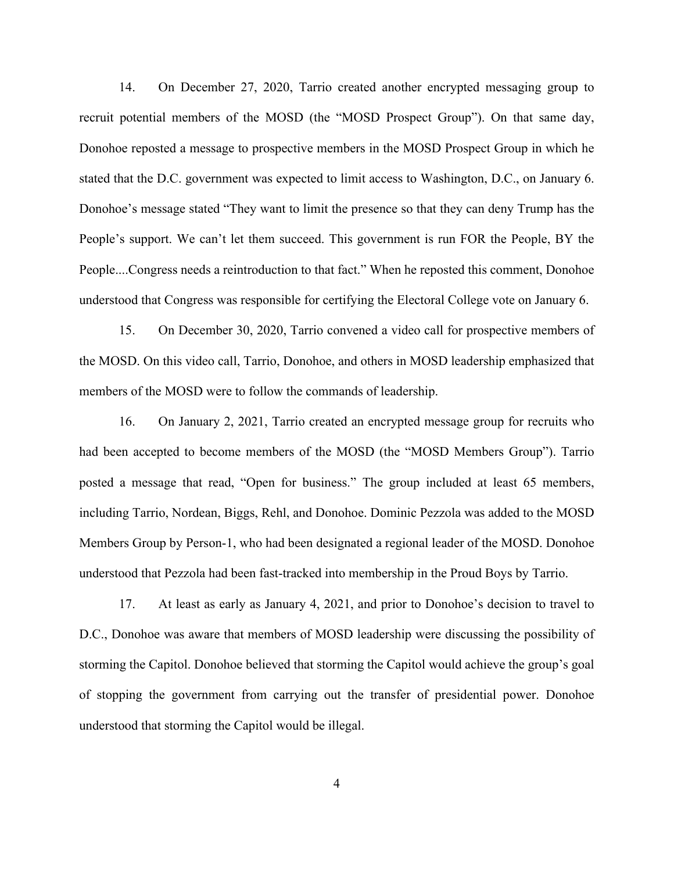14. On December 27, 2020, Tarrio created another encrypted messaging group to recruit potential members of the MOSD (the "MOSD Prospect Group"). On that same day, Donohoe reposted a message to prospective members in the MOSD Prospect Group in which he stated that the D.C. government was expected to limit access to Washington, D.C., on January 6. Donohoe's message stated "They want to limit the presence so that they can deny Trump has the People's support. We can't let them succeed. This government is run FOR the People, BY the People....Congress needs a reintroduction to that fact." When he reposted this comment, Donohoe understood that Congress was responsible for certifying the Electoral College vote on January 6.

15. On December 30, 2020, Tarrio convened a video call for prospective members of the MOSD. On this video call, Tarrio, Donohoe, and others in MOSD leadership emphasized that members of the MOSD were to follow the commands of leadership.

16. On January 2, 2021, Tarrio created an encrypted message group for recruits who had been accepted to become members of the MOSD (the "MOSD Members Group"). Tarrio posted a message that read, "Open for business." The group included at least 65 members, including Tarrio, Nordean, Biggs, Rehl, and Donohoe. Dominic Pezzola was added to the MOSD Members Group by Person-1, who had been designated a regional leader of the MOSD. Donohoe understood that Pezzola had been fast-tracked into membership in the Proud Boys by Tarrio.

17. At least as early as January 4, 2021, and prior to Donohoe's decision to travel to D.C., Donohoe was aware that members of MOSD leadership were discussing the possibility of storming the Capitol. Donohoe believed that storming the Capitol would achieve the group's goal of stopping the government from carrying out the transfer of presidential power. Donohoe understood that storming the Capitol would be illegal.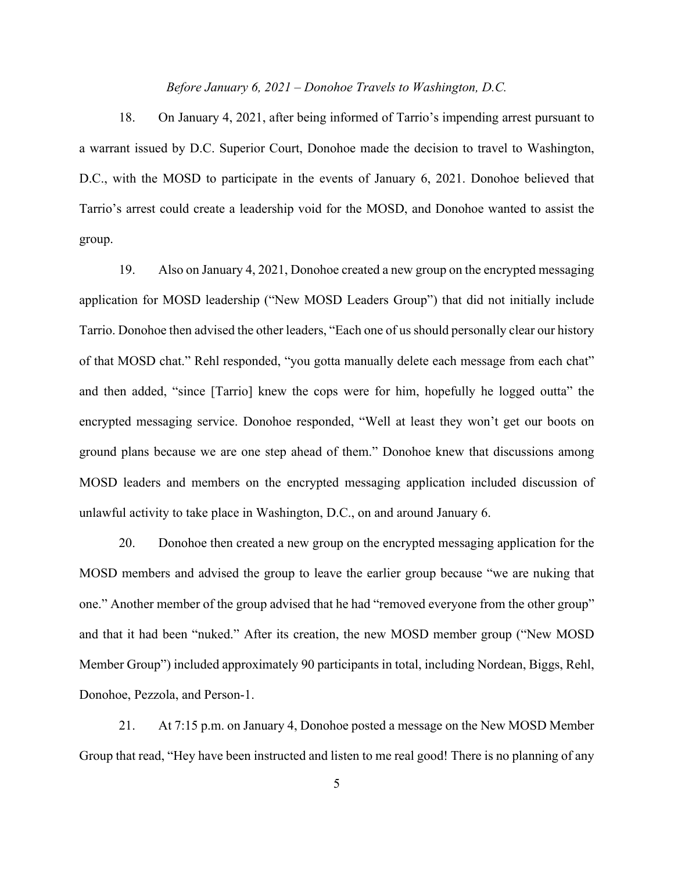## *Before January 6, 2021 – Donohoe Travels to Washington, D.C.*

18. On January 4, 2021, after being informed of Tarrio's impending arrest pursuant to a warrant issued by D.C. Superior Court, Donohoe made the decision to travel to Washington, D.C., with the MOSD to participate in the events of January 6, 2021. Donohoe believed that Tarrio's arrest could create a leadership void for the MOSD, and Donohoe wanted to assist the group.

19. Also on January 4, 2021, Donohoe created a new group on the encrypted messaging application for MOSD leadership ("New MOSD Leaders Group") that did not initially include Tarrio. Donohoe then advised the other leaders, "Each one of us should personally clear our history of that MOSD chat." Rehl responded, "you gotta manually delete each message from each chat" and then added, "since [Tarrio] knew the cops were for him, hopefully he logged outta" the encrypted messaging service. Donohoe responded, "Well at least they won't get our boots on ground plans because we are one step ahead of them." Donohoe knew that discussions among MOSD leaders and members on the encrypted messaging application included discussion of unlawful activity to take place in Washington, D.C., on and around January 6.

20. Donohoe then created a new group on the encrypted messaging application for the MOSD members and advised the group to leave the earlier group because "we are nuking that one." Another member of the group advised that he had "removed everyone from the other group" and that it had been "nuked." After its creation, the new MOSD member group ("New MOSD Member Group") included approximately 90 participants in total, including Nordean, Biggs, Rehl, Donohoe, Pezzola, and Person-1.

21. At 7:15 p.m. on January 4, Donohoe posted a message on the New MOSD Member Group that read, "Hey have been instructed and listen to me real good! There is no planning of any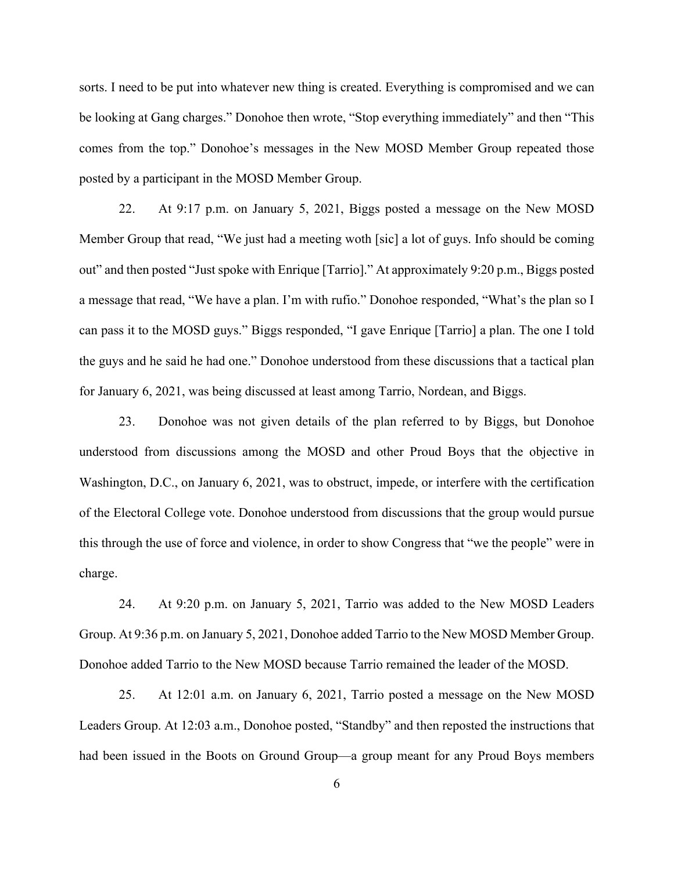sorts. I need to be put into whatever new thing is created. Everything is compromised and we can be looking at Gang charges." Donohoe then wrote, "Stop everything immediately" and then "This comes from the top." Donohoe's messages in the New MOSD Member Group repeated those posted by a participant in the MOSD Member Group.

22. At 9:17 p.m. on January 5, 2021, Biggs posted a message on the New MOSD Member Group that read, "We just had a meeting woth [sic] a lot of guys. Info should be coming out" and then posted "Just spoke with Enrique [Tarrio]." At approximately 9:20 p.m., Biggs posted a message that read, "We have a plan. I'm with rufio." Donohoe responded, "What's the plan so I can pass it to the MOSD guys." Biggs responded, "I gave Enrique [Tarrio] a plan. The one I told the guys and he said he had one." Donohoe understood from these discussions that a tactical plan for January 6, 2021, was being discussed at least among Tarrio, Nordean, and Biggs.

23. Donohoe was not given details of the plan referred to by Biggs, but Donohoe understood from discussions among the MOSD and other Proud Boys that the objective in Washington, D.C., on January 6, 2021, was to obstruct, impede, or interfere with the certification of the Electoral College vote. Donohoe understood from discussions that the group would pursue this through the use of force and violence, in order to show Congress that "we the people" were in charge.

24. At 9:20 p.m. on January 5, 2021, Tarrio was added to the New MOSD Leaders Group. At 9:36 p.m. on January 5, 2021, Donohoe added Tarrio to the New MOSD Member Group. Donohoe added Tarrio to the New MOSD because Tarrio remained the leader of the MOSD.

25. At 12:01 a.m. on January 6, 2021, Tarrio posted a message on the New MOSD Leaders Group. At 12:03 a.m., Donohoe posted, "Standby" and then reposted the instructions that had been issued in the Boots on Ground Group—a group meant for any Proud Boys members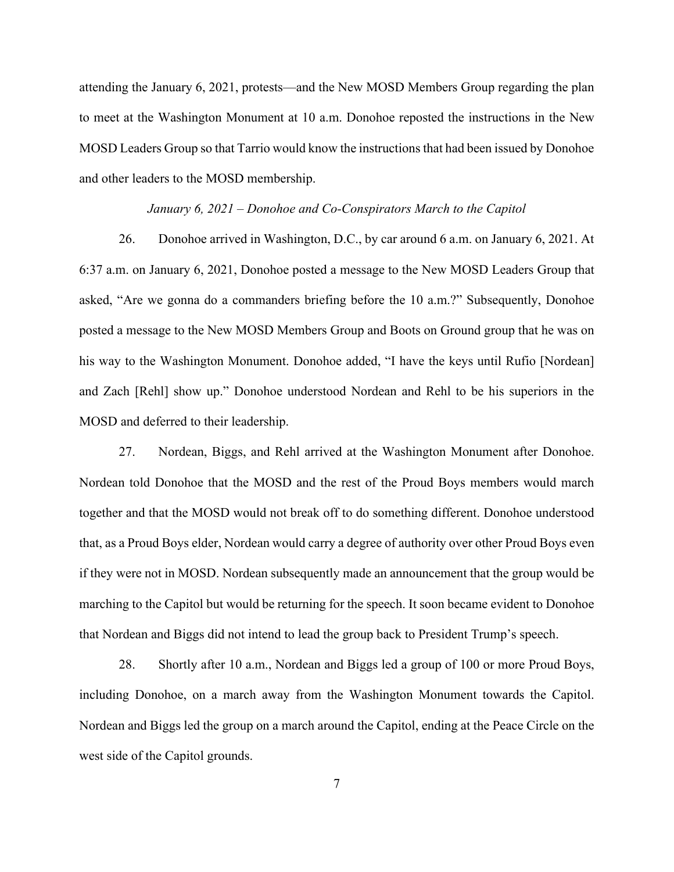attending the January 6, 2021, protests—and the New MOSD Members Group regarding the plan to meet at the Washington Monument at 10 a.m. Donohoe reposted the instructions in the New MOSD Leaders Group so that Tarrio would know the instructions that had been issued by Donohoe and other leaders to the MOSD membership.

#### *January 6, 2021 – Donohoe and Co-Conspirators March to the Capitol*

26. Donohoe arrived in Washington, D.C., by car around 6 a.m. on January 6, 2021. At 6:37 a.m. on January 6, 2021, Donohoe posted a message to the New MOSD Leaders Group that asked, "Are we gonna do a commanders briefing before the 10 a.m.?" Subsequently, Donohoe posted a message to the New MOSD Members Group and Boots on Ground group that he was on his way to the Washington Monument. Donohoe added, "I have the keys until Rufio [Nordean] and Zach [Rehl] show up." Donohoe understood Nordean and Rehl to be his superiors in the MOSD and deferred to their leadership.

27. Nordean, Biggs, and Rehl arrived at the Washington Monument after Donohoe. Nordean told Donohoe that the MOSD and the rest of the Proud Boys members would march together and that the MOSD would not break off to do something different. Donohoe understood that, as a Proud Boys elder, Nordean would carry a degree of authority over other Proud Boys even if they were not in MOSD. Nordean subsequently made an announcement that the group would be marching to the Capitol but would be returning for the speech. It soon became evident to Donohoe that Nordean and Biggs did not intend to lead the group back to President Trump's speech.

28. Shortly after 10 a.m., Nordean and Biggs led a group of 100 or more Proud Boys, including Donohoe, on a march away from the Washington Monument towards the Capitol. Nordean and Biggs led the group on a march around the Capitol, ending at the Peace Circle on the west side of the Capitol grounds.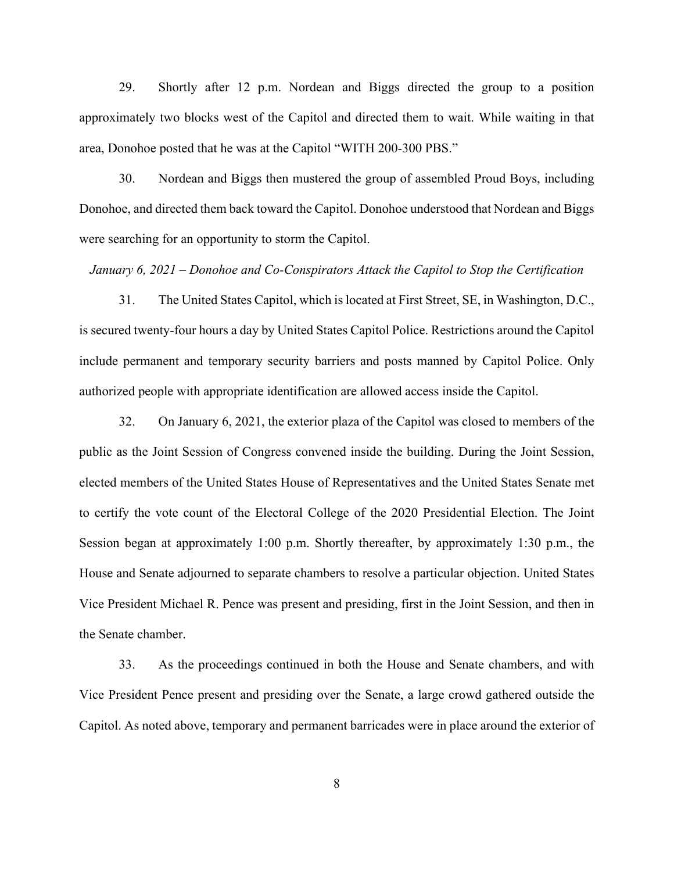29. Shortly after 12 p.m. Nordean and Biggs directed the group to a position approximately two blocks west of the Capitol and directed them to wait. While waiting in that area, Donohoe posted that he was at the Capitol "WITH 200-300 PBS."

30. Nordean and Biggs then mustered the group of assembled Proud Boys, including Donohoe, and directed them back toward the Capitol. Donohoe understood that Nordean and Biggs were searching for an opportunity to storm the Capitol.

# *January 6, 2021 – Donohoe and Co-Conspirators Attack the Capitol to Stop the Certification*

31. The United States Capitol, which is located at First Street, SE, in Washington, D.C., is secured twenty-four hours a day by United States Capitol Police. Restrictions around the Capitol include permanent and temporary security barriers and posts manned by Capitol Police. Only authorized people with appropriate identification are allowed access inside the Capitol.

32. On January 6, 2021, the exterior plaza of the Capitol was closed to members of the public as the Joint Session of Congress convened inside the building. During the Joint Session, elected members of the United States House of Representatives and the United States Senate met to certify the vote count of the Electoral College of the 2020 Presidential Election. The Joint Session began at approximately 1:00 p.m. Shortly thereafter, by approximately 1:30 p.m., the House and Senate adjourned to separate chambers to resolve a particular objection. United States Vice President Michael R. Pence was present and presiding, first in the Joint Session, and then in the Senate chamber.

33. As the proceedings continued in both the House and Senate chambers, and with Vice President Pence present and presiding over the Senate, a large crowd gathered outside the Capitol. As noted above, temporary and permanent barricades were in place around the exterior of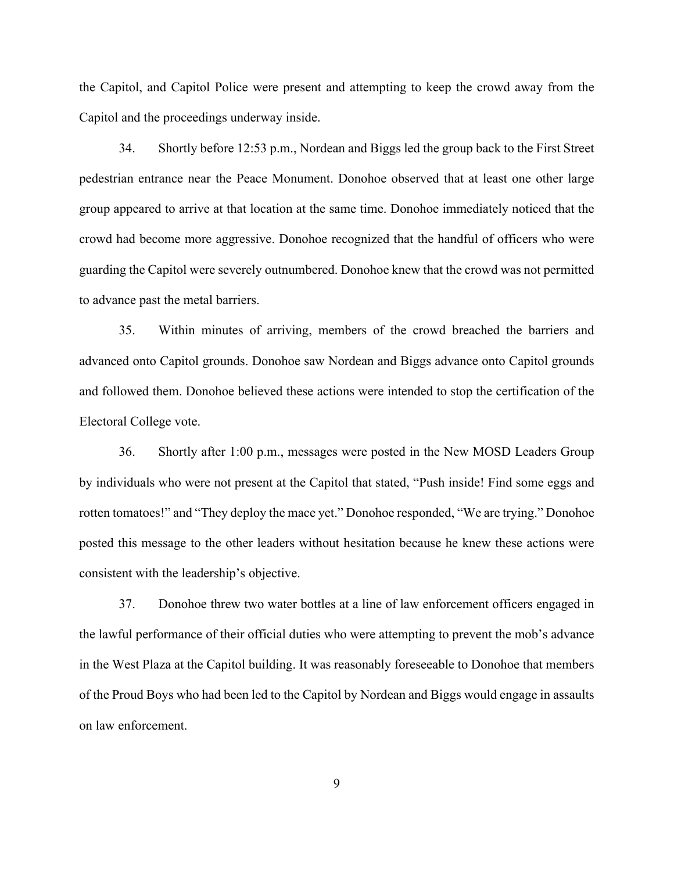the Capitol, and Capitol Police were present and attempting to keep the crowd away from the Capitol and the proceedings underway inside.

34. Shortly before 12:53 p.m., Nordean and Biggs led the group back to the First Street pedestrian entrance near the Peace Monument. Donohoe observed that at least one other large group appeared to arrive at that location at the same time. Donohoe immediately noticed that the crowd had become more aggressive. Donohoe recognized that the handful of officers who were guarding the Capitol were severely outnumbered. Donohoe knew that the crowd was not permitted to advance past the metal barriers.

35. Within minutes of arriving, members of the crowd breached the barriers and advanced onto Capitol grounds. Donohoe saw Nordean and Biggs advance onto Capitol grounds and followed them. Donohoe believed these actions were intended to stop the certification of the Electoral College vote.

36. Shortly after 1:00 p.m., messages were posted in the New MOSD Leaders Group by individuals who were not present at the Capitol that stated, "Push inside! Find some eggs and rotten tomatoes!" and "They deploy the mace yet." Donohoe responded, "We are trying." Donohoe posted this message to the other leaders without hesitation because he knew these actions were consistent with the leadership's objective.

37. Donohoe threw two water bottles at a line of law enforcement officers engaged in the lawful performance of their official duties who were attempting to prevent the mob's advance in the West Plaza at the Capitol building. It was reasonably foreseeable to Donohoe that members of the Proud Boys who had been led to the Capitol by Nordean and Biggs would engage in assaults on law enforcement.

9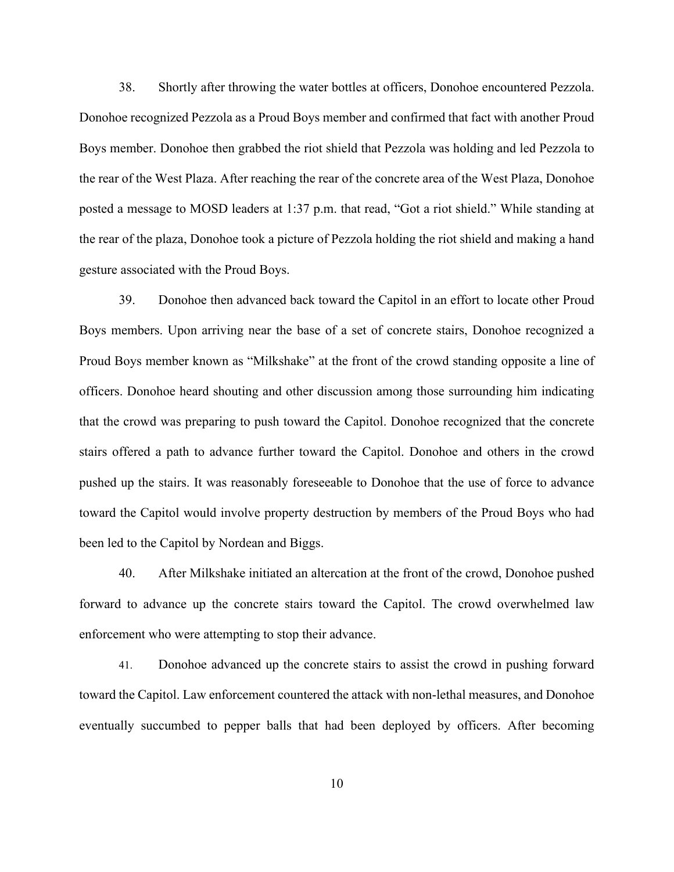38. Shortly after throwing the water bottles at officers, Donohoe encountered Pezzola. Donohoe recognized Pezzola as a Proud Boys member and confirmed that fact with another Proud Boys member. Donohoe then grabbed the riot shield that Pezzola was holding and led Pezzola to the rear of the West Plaza. After reaching the rear of the concrete area of the West Plaza, Donohoe posted a message to MOSD leaders at 1:37 p.m. that read, "Got a riot shield." While standing at the rear of the plaza, Donohoe took a picture of Pezzola holding the riot shield and making a hand gesture associated with the Proud Boys.

39. Donohoe then advanced back toward the Capitol in an effort to locate other Proud Boys members. Upon arriving near the base of a set of concrete stairs, Donohoe recognized a Proud Boys member known as "Milkshake" at the front of the crowd standing opposite a line of officers. Donohoe heard shouting and other discussion among those surrounding him indicating that the crowd was preparing to push toward the Capitol. Donohoe recognized that the concrete stairs offered a path to advance further toward the Capitol. Donohoe and others in the crowd pushed up the stairs. It was reasonably foreseeable to Donohoe that the use of force to advance toward the Capitol would involve property destruction by members of the Proud Boys who had been led to the Capitol by Nordean and Biggs.

40. After Milkshake initiated an altercation at the front of the crowd, Donohoe pushed forward to advance up the concrete stairs toward the Capitol. The crowd overwhelmed law enforcement who were attempting to stop their advance.

41. Donohoe advanced up the concrete stairs to assist the crowd in pushing forward toward the Capitol. Law enforcement countered the attack with non-lethal measures, and Donohoe eventually succumbed to pepper balls that had been deployed by officers. After becoming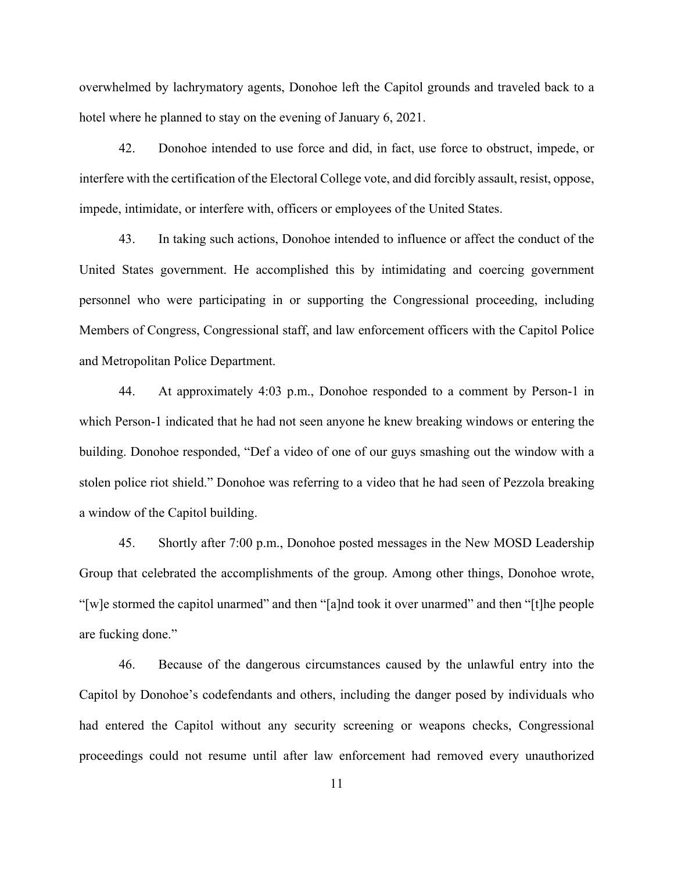overwhelmed by lachrymatory agents, Donohoe left the Capitol grounds and traveled back to a hotel where he planned to stay on the evening of January 6, 2021.

42. Donohoe intended to use force and did, in fact, use force to obstruct, impede, or interfere with the certification of the Electoral College vote, and did forcibly assault, resist, oppose, impede, intimidate, or interfere with, officers or employees of the United States.

43. In taking such actions, Donohoe intended to influence or affect the conduct of the United States government. He accomplished this by intimidating and coercing government personnel who were participating in or supporting the Congressional proceeding, including Members of Congress, Congressional staff, and law enforcement officers with the Capitol Police and Metropolitan Police Department.

44. At approximately 4:03 p.m., Donohoe responded to a comment by Person-1 in which Person-1 indicated that he had not seen anyone he knew breaking windows or entering the building. Donohoe responded, "Def a video of one of our guys smashing out the window with a stolen police riot shield." Donohoe was referring to a video that he had seen of Pezzola breaking a window of the Capitol building.

45. Shortly after 7:00 p.m., Donohoe posted messages in the New MOSD Leadership Group that celebrated the accomplishments of the group. Among other things, Donohoe wrote, "[w]e stormed the capitol unarmed" and then "[a]nd took it over unarmed" and then "[t]he people are fucking done."

46. Because of the dangerous circumstances caused by the unlawful entry into the Capitol by Donohoe's codefendants and others, including the danger posed by individuals who had entered the Capitol without any security screening or weapons checks, Congressional proceedings could not resume until after law enforcement had removed every unauthorized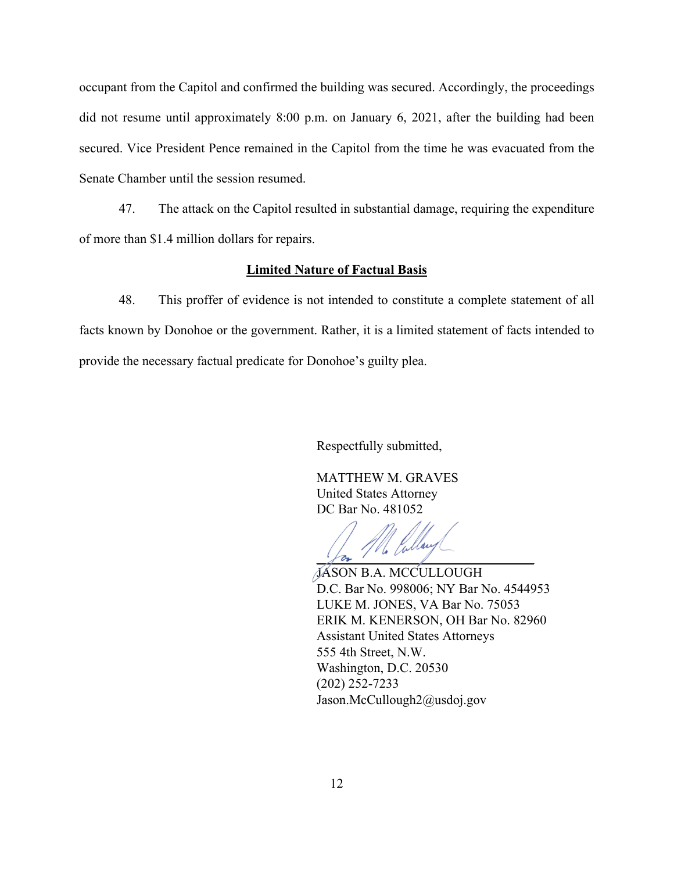occupant from the Capitol and confirmed the building was secured. Accordingly, the proceedings did not resume until approximately 8:00 p.m. on January 6, 2021, after the building had been secured. Vice President Pence remained in the Capitol from the time he was evacuated from the Senate Chamber until the session resumed.

47. The attack on the Capitol resulted in substantial damage, requiring the expenditure of more than \$1.4 million dollars for repairs.

# **Limited Nature of Factual Basis**

48. This proffer of evidence is not intended to constitute a complete statement of all facts known by Donohoe or the government. Rather, it is a limited statement of facts intended to provide the necessary factual predicate for Donohoe's guilty plea.

Respectfully submitted,

MATTHEW M. GRAVES United States Attorney DC Bar No. 481052

llav  $\sqrt{a}$ 

JASON B.A. MCCULLOUGH D.C. Bar No. 998006; NY Bar No. 4544953 LUKE M. JONES, VA Bar No. 75053 ERIK M. KENERSON, OH Bar No. 82960 Assistant United States Attorneys 555 4th Street, N.W. Washington, D.C. 20530 (202) 252-7233 Jason.McCullough2@usdoj.gov